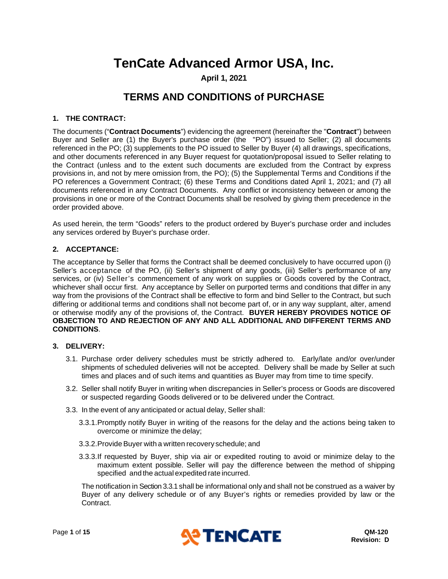# **TenCate Advanced Armor USA, Inc.**

**April 1, 2021**

# **TERMS AND CONDITIONS of PURCHASE**

# **1. THE CONTRACT:**

The documents ("**Contract Documents**") evidencing the agreement (hereinafter the "**Contract**") between Buyer and Seller are (1) the Buyer's purchase order (the "PO") issued to Seller; (2) all documents referenced in the PO; (3) supplements to the PO issued to Seller by Buyer (4) all drawings, specifications, and other documents referenced in any Buyer request for quotation/proposal issued to Seller relating to the Contract (unless and to the extent such documents are excluded from the Contract by express provisions in, and not by mere omission from, the PO); (5) the Supplemental Terms and Conditions if the PO references a Government Contract; (6) these Terms and Conditions dated April 1, 2021; and (7) all documents referenced in any Contract Documents. Any conflict or inconsistency between or among the provisions in one or more of the Contract Documents shall be resolved by giving them precedence in the order provided above.

As used herein, the term "Goods" refers to the product ordered by Buyer's purchase order and includes any services ordered by Buyer's purchase order.

# **2. ACCEPTANCE:**

The acceptance by Seller that forms the Contract shall be deemed conclusively to have occurred upon (i) Seller's acceptance of the PO, (ii) Seller's shipment of any goods, (iii) Seller's performance of any services, or (iv) Seller's commencement of any work on supplies or Goods covered by the Contract, whichever shall occur first. Any acceptance by Seller on purported terms and conditions that differ in any way from the provisions of the Contract shall be effective to form and bind Seller to the Contract, but such differing or additional terms and conditions shall not become part of, or in any way supplant, alter, amend or otherwise modify any of the provisions of, the Contract. **BUYER HEREBY PROVIDES NOTICE OF OBJECTION TO AND REJECTION OF ANY AND ALL ADDITIONAL AND DIFFERENT TERMS AND CONDITIONS**.

#### **3. DELIVERY:**

- 3.1. Purchase order delivery schedules must be strictly adhered to. Early/late and/or over/under shipments of scheduled deliveries will not be accepted. Delivery shall be made by Seller at such times and places and of such items and quantities as Buyer may from time to time specify.
- 3.2. Seller shall notify Buyer in writing when discrepancies in Seller's process or Goods are discovered or suspected regarding Goods delivered or to be delivered under the Contract.
- <span id="page-0-0"></span>3.3. In the event of any anticipated or actual delay, Seller shall:
	- 3.3.1.Promptly notify Buyer in writing of the reasons for the delay and the actions being taken to overcome or minimize the delay;
	- 3.3.2.Provide Buyer with a written recovery schedule; and
	- 3.3.3.If requested by Buyer, ship via air or expedited routing to avoid or minimize delay to the maximum extent possible. Seller will pay the difference between the method of shipping specified and the actual expedited rate incurred.

The notification in Sectio[n 3.3.1](#page-0-0) shall be informational only and shall not be construed as a waiver by Buyer of any delivery schedule or of any Buyer's rights or remedies provided by law or the Contract.

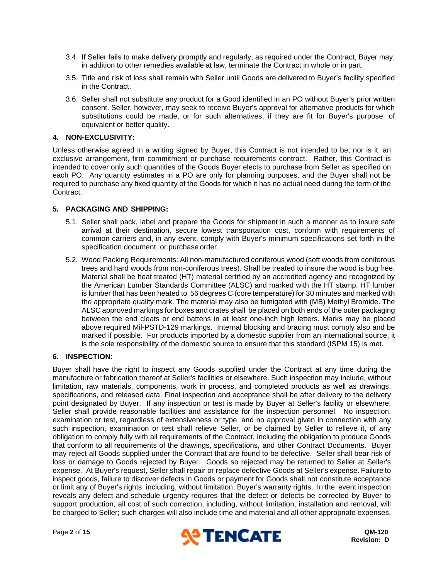- 3.4. If Seller fails to make delivery promptly and regularly, as required under the Contract, Buyer may, in addition to other remedies available at law, terminate the Contract in whole or in part.
- 3.5. Title and risk of loss shall remain with Seller until Goods are delivered to Buyer's facility specified in the Contract.
- 3.6. Seller shall not substitute any product for a Good identified in an PO without Buyer's prior written consent. Seller, however, may seek to receive Buyer's approval for alternative products for which substitutions could be made, or for such alternatives, if they are fit for Buyer's purpose, of equivalent or better quality.

# **4. NON-EXCLUSIVITY:**

Unless otherwise agreed in a writing signed by Buyer, this Contract is not intended to be, nor is it, an exclusive arrangement, firm commitment or purchase requirements contract. Rather, this Contract is intended to cover only such quantities of the Goods Buyer elects to purchase from Seller as specified on each PO. Any quantity estimates in a PO are only for planning purposes, and the Buyer shall not be required to purchase any fixed quantity of the Goods for which it has no actual need during the term of the Contract.

# **5. PACKAGING AND SHIPPING:**

- 5.1. Seller shall pack, label and prepare the Goods for shipment in such a manner as to insure safe arrival at their destination, secure lowest transportation cost, conform with requirements of common carriers and, in any event, comply with Buyer's minimum specifications set forth in the specification document, or purchase order.
- 5.2. Wood Packing Requirements: All non-manufactured coniferous wood (soft woods from coniferous trees and hard woods from non-coniferous trees). Shall be treated to insure the wood is bug free. Material shall be heat treated (HT) material certified by an accredited agency and recognized by the American Lumber Standards Committee (ALSC) and marked with the HT stamp. HT lumber is lumber that has been heated to 56 degrees C (core temperature) for 30 minutes and marked with the appropriate quality mark. The material may also be fumigated with (MB) Methyl Bromide. The ALSC approved markings for boxes and crates shall be placed on both ends of the outer packaging between the end cleats or end battens in at least one-inch high letters. Marks may be placed above required Mil-PSTD-129 markings. Internal blocking and bracing must comply also and be marked if possible. For products imported by a domestic supplier from an international source, it is the sole responsibility of the domestic source to ensure that this standard (ISPM 15) is met.

# **6. INSPECTION:**

Buyer shall have the right to inspect any Goods supplied under the Contract at any time during the manufacture or fabrication thereof at Seller's facilities or elsewhere. Such inspection may include, without limitation, raw materials, components, work in process, and completed products as well as drawings, specifications, and released data. Final inspection and acceptance shall be after delivery to the delivery point designated by Buyer. If any inspection or test is made by Buyer at Seller's facility or elsewhere, Seller shall provide reasonable facilities and assistance for the inspection personnel. No inspection, examination or test, regardless of extensiveness or type, and no approval given in connection with any such inspection, examination or test shall relieve Seller, or be claimed by Seller to relieve it, of any obligation to comply fully with all requirements of the Contract, including the obligation to produce Goods that conform to all requirements of the drawings, specifications, and other Contract Documents. Buyer may reject all Goods supplied under the Contract that are found to be defective. Seller shall bear risk of loss or damage to Goods rejected by Buyer. Goods so rejected may be returned to Seller at Seller's expense. At Buyer's request, Seller shall repair or replace defective Goods at Seller's expense. Failure to inspect goods, failure to discover defects in Goods or payment for Goods shall not constitute acceptance or limit any of Buyer's rights, including, without limitation, Buyer's warranty rights. In the event inspection reveals any defect and schedule urgency requires that the defect or defects be corrected by Buyer to support production, all cost of such correction, including, without limitation, installation and removal, will be charged to Seller; such charges will also include time and material and all other appropriate expenses.

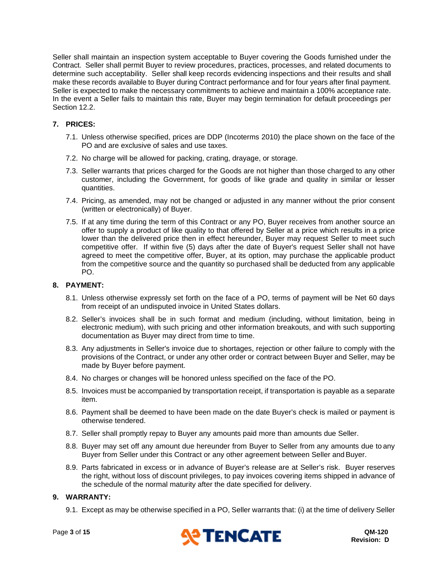Seller shall maintain an inspection system acceptable to Buyer covering the Goods furnished under the Contract. Seller shall permit Buyer to review procedures, practices, processes, and related documents to determine such acceptability. Seller shall keep records evidencing inspections and their results and shall make these records available to Buyer during Contract performance and for four years after final payment. Seller is expected to make the necessary commitments to achieve and maintain a 100% acceptance rate. In the event a Seller fails to maintain this rate, Buyer may begin termination for default proceedings per Section [12.2.](#page-4-0)

# **7. PRICES:**

- 7.1. Unless otherwise specified, prices are DDP (Incoterms 2010) the place shown on the face of the PO and are exclusive of sales and use taxes.
- 7.2. No charge will be allowed for packing, crating, drayage, or storage.
- 7.3. Seller warrants that prices charged for the Goods are not higher than those charged to any other customer, including the Government, for goods of like grade and quality in similar or lesser quantities.
- 7.4. Pricing, as amended, may not be changed or adjusted in any manner without the prior consent (written or electronically) of Buyer.
- 7.5. If at any time during the term of this Contract or any PO, Buyer receives from another source an offer to supply a product of like quality to that offered by Seller at a price which results in a price lower than the delivered price then in effect hereunder, Buyer may request Seller to meet such competitive offer. If within five (5) days after the date of Buyer's request Seller shall not have agreed to meet the competitive offer, Buyer, at its option, may purchase the applicable product from the competitive source and the quantity so purchased shall be deducted from any applicable PO.

# **8. PAYMENT:**

- 8.1. Unless otherwise expressly set forth on the face of a PO, terms of payment will be Net 60 days from receipt of an undisputed invoice in United States dollars.
- 8.2. Seller's invoices shall be in such format and medium (including, without limitation, being in electronic medium), with such pricing and other information breakouts, and with such supporting documentation as Buyer may direct from time to time.
- 8.3. Any adjustments in Seller's invoice due to shortages, rejection or other failure to comply with the provisions of the Contract, or under any other order or contract between Buyer and Seller, may be made by Buyer before payment.
- 8.4. No charges or changes will be honored unless specified on the face of the PO.
- 8.5. Invoices must be accompanied by transportation receipt, if transportation is payable as a separate item.
- 8.6. Payment shall be deemed to have been made on the date Buyer's check is mailed or payment is otherwise tendered.
- 8.7. Seller shall promptly repay to Buyer any amounts paid more than amounts due Seller.
- 8.8. Buyer may set off any amount due hereunder from Buyer to Seller from any amounts due to any Buyer from Seller under this Contract or any other agreement between Seller and Buyer.
- 8.9. Parts fabricated in excess or in advance of Buyer's release are at Seller's risk. Buyer reserves the right, without loss of discount privileges, to pay invoices covering items shipped in advance of the schedule of the normal maturity after the date specified for delivery.

#### <span id="page-2-0"></span>**9. WARRANTY:**

9.1. Except as may be otherwise specified in a PO, Seller warrants that: (i) at the time of delivery Seller

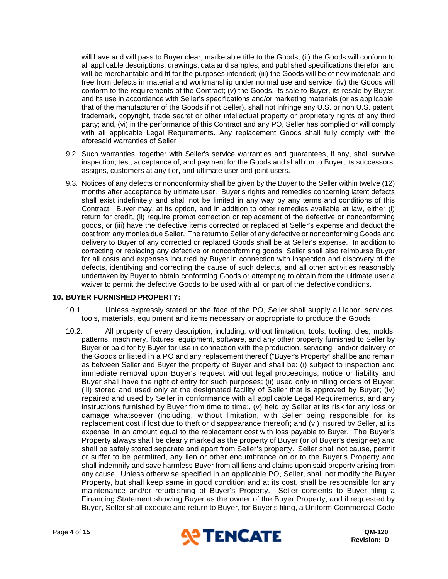will have and will pass to Buyer clear, marketable title to the Goods; (ii) the Goods will conform to all applicable descriptions, drawings, data and samples, and published specifications therefor, and will be merchantable and fit for the purposes intended; (iii) the Goods will be of new materials and free from defects in material and workmanship under normal use and service; (iv) the Goods will conform to the requirements of the Contract; (v) the Goods, its sale to Buyer, its resale by Buyer, and its use in accordance with Seller's specifications and/or marketing materials (or as applicable, that of the manufacturer of the Goods if not Seller), shall not infringe any U.S. or non U.S. patent, trademark, copyright, trade secret or other intellectual property or proprietary rights of any third party; and, (vi) in the performance of this Contract and any PO, Seller has complied or will comply with all applicable Legal Requirements. Any replacement Goods shall fully comply with the aforesaid warranties of Seller

- 9.2. Such warranties, together with Seller's service warranties and guarantees, if any, shall survive inspection, test, acceptance of, and payment for the Goods and shall run to Buyer, its successors, assigns, customers at any tier, and ultimate user and joint users.
- 9.3. Notices of any defects or nonconformity shall be given by the Buyer to the Seller within twelve (12) months after acceptance by ultimate user. Buyer's rights and remedies concerning latent defects shall exist indefinitely and shall not be limited in any way by any terms and conditions of this Contract. Buyer may, at its option, and in addition to other remedies available at law, either (i) return for credit, (ii) require prompt correction or replacement of the defective or nonconforming goods, or (iii) have the defective items corrected or replaced at Seller's expense and deduct the cost from any monies due Seller. The return to Seller of any defective or nonconforming Goods and delivery to Buyer of any corrected or replaced Goods shall be at Seller's expense. In addition to correcting or replacing any defective or nonconforming goods, Seller shall also reimburse Buyer for all costs and expenses incurred by Buyer in connection with inspection and discovery of the defects, identifying and correcting the cause of such defects, and all other activities reasonably undertaken by Buyer to obtain conforming Goods or attempting to obtain from the ultimate user a waiver to permit the defective Goods to be used with all or part of the defective conditions.

#### **10. BUYER FURNISHED PROPERTY:**

- 10.1. Unless expressly stated on the face of the PO, Seller shall supply all labor, services, tools, materials, equipment and items necessary or appropriate to produce the Goods.
- ) 10.2. All property of every description, including, without limitation, tools, tooling, dies, molds, patterns, machinery, fixtures, equipment, software, and any other property furnished to Seller by Buyer or paid for by Buyer for use in connection with the production, servicing and/or delivery of the Goods or listed in a PO and any replacement thereof ("Buyer's Property" shall be and remain as between Seller and Buyer the property of Buyer and shall be: (i) subject to inspection and immediate removal upon Buyer's request without legal proceedings, notice or liability and Buyer shall have the right of entry for such purposes; (ii) used only in filling orders of Buyer; (iii) stored and used only at the designated facility of Seller that is approved by Buyer; (iv) repaired and used by Seller in conformance with all applicable Legal Requirements, and any instructions furnished by Buyer from time to time;, (v) held by Seller at its risk for any loss or damage whatsoever (including, without limitation, with Seller being responsible for its replacement cost if lost due to theft or disappearance thereof); and (vi) insured by Seller, at its expense, in an amount equal to the replacement cost with loss payable to Buyer. The Buyer's Property always shall be clearly marked as the property of Buyer (or of Buyer's designee) and shall be safely stored separate and apart from Seller's property. Seller shall not cause, permit or suffer to be permitted, any lien or other encumbrance on or to the Buyer's Property and shall indemnify and save harmless Buyer from all liens and claims upon said property arising from any cause. Unless otherwise specified in an applicable PO, Seller, shall not modify the Buyer Property, but shall keep same in good condition and at its cost, shall be responsible for any maintenance and/or refurbishing of Buyer's Property. Seller consents to Buyer filing a Financing Statement showing Buyer as the owner of the Buyer Property, and if requested by Buyer, Seller shall execute and return to Buyer, for Buyer's filing, a Uniform Commercial Code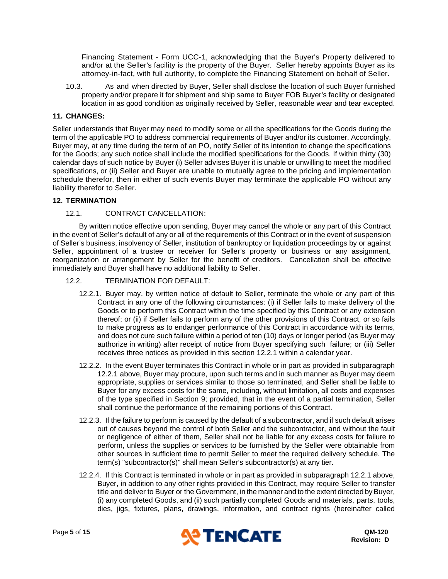Financing Statement - Form UCC-1, acknowledging that the Buyer's Property delivered to and/or at the Seller's facility is the property of the Buyer. Seller hereby appoints Buyer as its attorney-in-fact, with full authority, to complete the Financing Statement on behalf of Seller.

10.3. As and when directed by Buyer, Seller shall disclose the location of such Buyer furnished property and/or prepare it for shipment and ship same to Buyer FOB Buyer's facility or designated location in as good condition as originally received by Seller, reasonable wear and tear excepted.

## **11. CHANGES:**

Seller understands that Buyer may need to modify some or all the specifications for the Goods during the term of the applicable PO to address commercial requirements of Buyer and/or its customer. Accordingly, Buyer may, at any time during the term of an PO, notify Seller of its intention to change the specifications for the Goods; any such notice shall include the modified specifications for the Goods. If within thirty (30) calendar days of such notice by Buyer (i) Seller advises Buyer it is unable or unwilling to meet the modified specifications, or (ii) Seller and Buyer are unable to mutually agree to the pricing and implementation schedule therefor, then in either of such events Buyer may terminate the applicable PO without any liability therefor to Seller.

#### **12. TERMINATION**

#### 12.1. CONTRACT CANCELLATION:

By written notice effective upon sending, Buyer may cancel the whole or any part of this Contract in the event of Seller's default of any or all of the requirements of this Contract or in the event of suspension of Seller's business, insolvency of Seller, institution of bankruptcy or liquidation proceedings by or against Seller, appointment of a trustee or receiver for Seller's property or business or any assignment, reorganization or arrangement by Seller for the benefit of creditors. Cancellation shall be effective immediately and Buyer shall have no additional liability to Seller.

- <span id="page-4-1"></span><span id="page-4-0"></span>12.2. TERMINATION FOR DEFAULT:
	- 12.2.1. Buyer may, by written notice of default to Seller, terminate the whole or any part of this Contract in any one of the following circumstances: (i) if Seller fails to make delivery of the Goods or to perform this Contract within the time specified by this Contract or any extension thereof; or (ii) if Seller fails to perform any of the other provisions of this Contract, or so fails to make progress as to endanger performance of this Contract in accordance with its terms, and does not cure such failure within a period of ten (10) days or longer period (as Buyer may authorize in writing) after receipt of notice from Buyer specifying such failure; or (iii) Seller receives three notices as provided in this section [12.2.1](#page-4-1) within a calendar year.
	- 12.2.2. In the event Buyer terminates this Contract in whole or in part as provided in subparagraph [12.2.1](#page-4-1) above, Buyer may procure, upon such terms and in such manner as Buyer may deem appropriate, supplies or services similar to those so terminated, and Seller shall be liable to Buyer for any excess costs for the same, including, without limitation, all costs and expenses of the type specified in Section [9;](#page-2-0) provided, that in the event of a partial termination, Seller shall continue the performance of the remaining portions of this Contract.
	- 12.2.3. If the failure to perform is caused by the default of a subcontractor, and if such default arises out of causes beyond the control of both Seller and the subcontractor, and without the fault or negligence of either of them, Seller shall not be liable for any excess costs for failure to perform, unless the supplies or services to be furnished by the Seller were obtainable from other sources in sufficient time to permit Seller to meet the required delivery schedule. The term(s) "subcontractor(s)" shall mean Seller's subcontractor(s) at any tier.
	- 12.2.4. If this Contract is terminated in whole or in part as provided in subparagraph [12.2.1](#page-4-1) above, Buyer, in addition to any other rights provided in this Contract, may require Seller to transfer title and deliver to Buyer or the Government, in the manner and to the extent directed by Buyer, (i) any completed Goods, and (ii) such partially completed Goods and materials, parts, tools, dies, jigs, fixtures, plans, drawings, information, and contract rights (hereinafter called

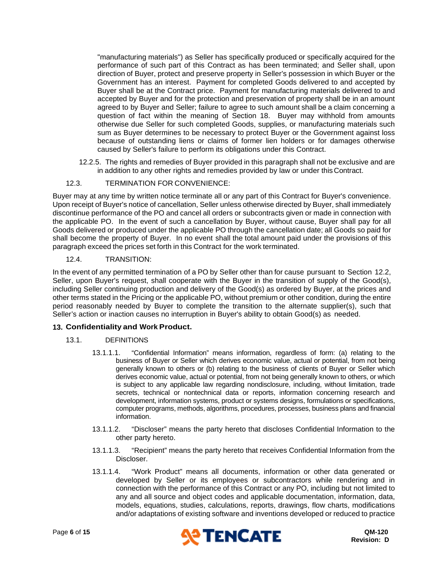"manufacturing materials") as Seller has specifically produced or specifically acquired for the performance of such part of this Contract as has been terminated; and Seller shall, upon direction of Buyer, protect and preserve property in Seller's possession in which Buyer or the Government has an interest. Payment for completed Goods delivered to and accepted by Buyer shall be at the Contract price. Payment for manufacturing materials delivered to and accepted by Buyer and for the protection and preservation of property shall be in an amount agreed to by Buyer and Seller; failure to agree to such amount shall be a claim concerning a question of fact within the meaning of Section [18.](#page-9-0) Buyer may withhold from amounts otherwise due Seller for such completed Goods, supplies, or manufacturing materials such sum as Buyer determines to be necessary to protect Buyer or the Government against loss because of outstanding liens or claims of former lien holders or for damages otherwise caused by Seller's failure to perform its obligations under this Contract.

12.2.5. The rights and remedies of Buyer provided in this paragraph shall not be exclusive and are in addition to any other rights and remedies provided by law or under this Contract.

# 12.3. TERMINATION FOR CONVENIENCE:

Buyer may at any time by written notice terminate all or any part of this Contract for Buyer's convenience. Upon receipt of Buyer's notice of cancellation, Seller unless otherwise directed by Buyer, shall immediately discontinue performance of the PO and cancel all orders or subcontracts given or made in connection with the applicable PO. In the event of such a cancellation by Buyer, without cause, Buyer shall pay for all Goods delivered or produced under the applicable PO through the cancellation date; all Goods so paid for shall become the property of Buyer. In no event shall the total amount paid under the provisions of this paragraph exceed the prices set forth in this Contract for the work terminated.

# 12.4. TRANSITION:

In the event of any permitted termination of a PO by Seller other than for cause pursuant to Section [12.2,](#page-4-0) Seller, upon Buyer's request, shall cooperate with the Buyer in the transition of supply of the Good(s), including Seller continuing production and delivery of the Good(s) as ordered by Buyer, at the prices and other terms stated in the Pricing or the applicable PO, without premium or other condition, during the entire period reasonably needed by Buyer to complete the transition to the alternate supplier(s), such that Seller's action or inaction causes no interruption in Buyer's ability to obtain Good(s) as needed.

# <span id="page-5-0"></span>**13. Confidentiality and Work Product.**

# 13.1. DEFINITIONS

- 13.1.1.1. "Confidential Information" means information, regardless of form: (a) relating to the business of Buyer or Seller which derives economic value, actual or potential, from not being generally known to others or (b) relating to the business of clients of Buyer or Seller which derives economic value, actual or potential, from not being generally known to others, or which is subject to any applicable law regarding nondisclosure, including, without limitation, trade secrets, technical or nontechnical data or reports, information concerning research and development, information systems, product or systems designs, formulations or specifications, computer programs, methods, algorithms, procedures, processes, business plans and financial information.
- 13.1.1.2. "Discloser" means the party hereto that discloses Confidential Information to the other party hereto.
- 13.1.1.3. "Recipient" means the party hereto that receives Confidential Information from the Discloser.
- 13.1.1.4. "Work Product" means all documents, information or other data generated or developed by Seller or its employees or subcontractors while rendering and in connection with the performance of this Contract or any PO, including but not limited to any and all source and object codes and applicable documentation, information, data, models, equations, studies, calculations, reports, drawings, flow charts, modifications and/or adaptations of existing software and inventions developed or reduced to practice

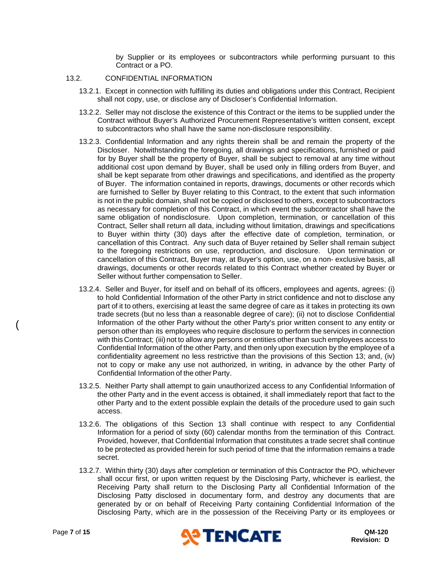by Supplier or its employees or subcontractors while performing pursuant to this Contract or a PO.

#### 13.2. CONFIDENTIAL INFORMATION

- 13.2.1. Except in connection with fulfilling its duties and obligations under this Contract, Recipient shall not copy, use, or disclose any of Discloser's Confidential Information.
- 13.2.2. Seller may not disclose the existence of this Contract or the items to be supplied under the Contract without Buyer's Authorized Procurement Representative's written consent, except to subcontractors who shall have the same non-disclosure responsibility.
- 13.2.3. Confidential Information and any rights therein shall be and remain the property of the Discloser. Notwithstanding the foregoing, all drawings and specifications, furnished or paid for by Buyer shall be the property of Buyer, shall be subject to removal at any time without additional cost upon demand by Buyer, shall be used only in filling orders from Buyer, and shall be kept separate from other drawings and specifications, and identified as the property of Buyer. The information contained in reports, drawings, documents or other records which are furnished to Seller by Buyer relating to this Contract, to the extent that such information is not in the public domain, shall not be copied or disclosed to others, except to subcontractors as necessary for completion of this Contract, in which event the subcontractor shall have the same obligation of nondisclosure. Upon completion, termination, or cancellation of this Contract, Seller shall return all data, including without limitation, drawings and specifications to Buyer within thirty (30) days after the effective date of completion, termination, or cancellation of this Contract. Any such data of Buyer retained by Seller shall remain subject to the foregoing restrictions on use, reproduction, and disclosure. Upon termination or cancellation of this Contract, Buyer may, at Buyer's option, use, on a non- exclusive basis, all drawings, documents or other records related to this Contract whether created by Buyer or Seller without further compensation to Seller.
- 13.2.4. Seller and Buyer, for itself and on behalf of its officers, employees and agents, agrees: (i) to hold Confidential Information of the other Party in strict confidence and not to disclose any part of it to others, exercising at least the same degree of care as it takes in protecting its own trade secrets (but no less than a reasonable degree of care); (ii) not to disclose Confidential Information of the other Party without the other Party's prior written consent to any entity or person other than its employees who require disclosure to perform the services in connection with this Contract; (iii) not to allow any persons or entities other than such employees access to Confidential Information of the other Party, and then only upon execution by the employee of a confidentiality agreement no less restrictive than the provisions of this Section [13;](#page-5-0) and, (iv) not to copy or make any use not authorized, in writing, in advance by the other Party of Confidential Information of the other Party.
- 13.2.5. Neither Party shall attempt to gain unauthorized access to any Confidential Information of the other Party and in the event access is obtained, it shall immediately report that fact to the other Party and to the extent possible explain the details of the procedure used to gain such access.
- 13.2.6. The obligations of this Section [13](#page-5-0) shall continue with respect to any Confidential Information for a period of sixty (60) calendar months from the termination of this Contract. Provided, however, that Confidential Information that constitutes a trade secret shall continue to be protected as provided herein for such period of time that the information remains a trade secret.
- 13.2.7. Within thirty (30) days after completion or termination of this Contractor the PO, whichever shall occur first, or upon written request by the Disclosing Party, whichever is earliest, the Receiving Party shall return to the Disclosing Party all Confidential Information of the Disclosing Patty disclosed in documentary form, and destroy any documents that are generated by or on behalf of Receiving Party containing Confidential Information of the Disclosing Party, which are in the possession of the Receiving Party or its employees or



(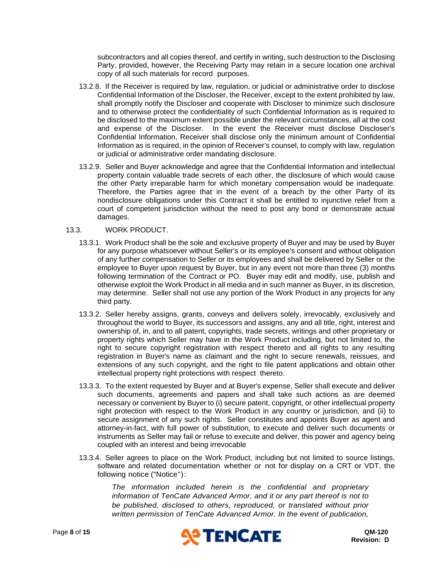subcontractors and all copies thereof, and certify in writing, such destruction to the Disclosing Party, provided, however, the Receiving Party may retain in a secure location one archival copy of all such materials for record purposes.

- 13.2.8. If the Receiver is required by law, regulation, or judicial or administrative order to disclose Confidential Information of the Discloser, the Receiver, except to the extent prohibited by law, shall promptly notify the Discloser and cooperate with Discloser to minimize such disclosure and to otherwise protect the confidentiality of such Confidential Information as is required to be disclosed to the maximum extent possible under the relevant circumstances, all at the cost and expense of the Discloser. In the event the Receiver must disclose Discloser's Confidential Information, Receiver shall disclose only the minimum amount of Confidential Information as is required, in the opinion of Receiver's counsel, to comply with law, regulation or judicial or administrative order mandating disclosure.
- 13.2.9. Seller and Buyer acknowledge and agree that the Confidential Information and intellectual property contain valuable trade secrets of each other, the disclosure of which would cause the other Party irreparable harm for which monetary compensation would be inadequate. Therefore, the Parties agree that in the event of a breach by the other Party of its nondisclosure obligations under this Contract it shall be entitled to injunctive relief from a court of competent jurisdiction without the need to post any bond or demonstrate actual damages.

#### 13.3. WORK PRODUCT.

- 13.3.1. Work Product shall be the sole and exclusive property of Buyer and may be used by Buyer for any purpose whatsoever without Seller's or its employee's consent and without obligation of any further compensation to Seller or its employees and shall be delivered by Seller or the employee to Buyer upon request by Buyer, but in any event not more than three (3) months following termination of the Contract or PO. Buyer may edit and modify, use, publish and otherwise exploit the Work Product in all media and in such manner as Buyer, in its discretion, may determine. Seller shall not use any portion of the Work Product in any projects for any third party.
- 13.3.2. Seller hereby assigns, grants, conveys and delivers solely, irrevocably, exclusively and throughout the world to Buyer, its successors and assigns, any and all title, right, interest and ownership of, in, and to all patent, copyrights, trade secrets, writings and other proprietary or property rights which Seller may have in the Work Product including, but not limited to, the right to secure copyright registration with respect thereto and all rights to any resulting registration in Buyer's name as claimant and the right to secure renewals, reissues, and extensions of any such copyright, and the right to file patent applications and obtain other intellectual property right protections with respect thereto.
- 13.3.3. To the extent requested by Buyer and at Buyer's expense, Seller shall execute and deliver such documents, agreements and papers and shall take such actions as are deemed necessary or convenient by Buyer to (i) secure patent, copyright, or other intellectual property right protection with respect to the Work Product in any country or jurisdiction, and (ii) to secure assignment of any such rights. Seller constitutes and appoints Buyer as agent and attorney-in-fact, with full power of substitution, to execute and deliver such documents or instruments as Seller may fail or refuse to execute and deliver, this power and agency being coupled with an interest and being irrevocable
- software and related documentation whether or not for display on a CRT or VDT, the 13.3.4. Seller agrees to place on the Work Product, including but not limited to source listings, following notice ("Notice"):

*The information included herein is the confidential and proprietary information of TenCate Advanced Armor, and it or any part thereof is not to be published, disclosed to others, reproduced, or translated without prior written permission of TenCate Advanced Armor. In the event of publication,* 

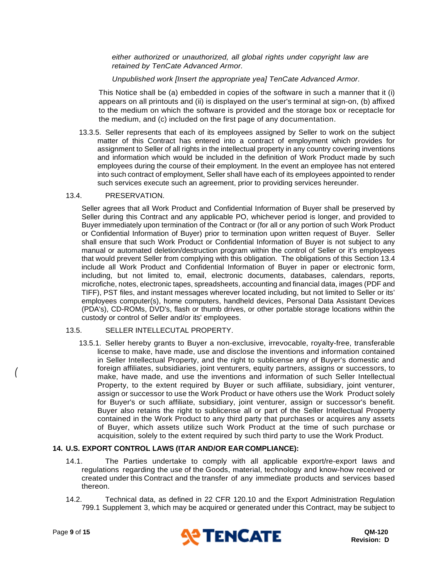*either authorized or unauthorized, all global rights under copyright law are retained by TenCate Advanced Armor.*

*Unpublished work [Insert the appropriate yea] TenCate Advanced Armor.*

This Notice shall be (a) embedded in copies of the software in such a manner that it (i) appears on all printouts and (ii) is displayed on the user's terminal at sign-on, (b) affixed to the medium on which the software is provided and the storage box or receptacle for the medium, and (c) included on the first page of any documentation.

13.3.5. Seller represents that each of its employees assigned by Seller to work on the subject matter of this Contract has entered into a contract of employment which provides for assignment to Seller of all rights in the intellectual property in any country covering inventions and information which would be included in the definition of Work Product made by such employees during the course of their employment. In the event an employee has not entered into such contract of employment, Seller shall have each of its employees appointed to render such services execute such an agreement, prior to providing services hereunder.

#### <span id="page-8-0"></span>13.4. PRESERVATION.

Seller agrees that all Work Product and Confidential Information of Buyer shall be preserved by Seller during this Contract and any applicable PO, whichever period is longer, and provided to Buyer immediately upon termination of the Contract or (for all or any portion of such Work Product or Confidential Information of Buyer) prior to termination upon written request of Buyer. Seller shall ensure that such Work Product or Confidential Information of Buyer is not subject to any manual or automated deletion/destruction program within the control of Seller or it's employees that would prevent Seller from complying with this obligation. The obligations of this Section [13.4](#page-8-0) include all Work Product and Confidential Information of Buyer in paper or electronic form, including, but not limited to, email, electronic documents, databases, calendars, reports, microfiche, notes, electronic tapes, spreadsheets, accounting and financial data, images (PDF and TIFF), PST files, and instant messages wherever located including, but not limited to Seller or its' employees computer(s), home computers, handheld devices, Personal Data Assistant Devices (PDA's), CD-ROMs, DVD's, flash or thumb drives, or other portable storage locations within the custody or control of Seller and/or its' employees.

#### 13.5. SELLER INTELLECUTAL PROPERTY.

13.5.1. Seller hereby grants to Buyer a non-exclusive, irrevocable, royalty-free, transferable license to make, have made, use and disclose the inventions and information contained in Seller Intellectual Property, and the right to sublicense any of Buyer's domestic and foreign affiliates, subsidiaries, joint venturers, equity partners, assigns or successors, to make, have made, and use the inventions and information of such Seller Intellectual Property, to the extent required by Buyer or such affiliate, subsidiary, joint venturer, assign or successor to use the Work Product or have others use the Work Product solely for Buyer's or such affiliate, subsidiary, joint venturer, assign or successor's benefit. Buyer also retains the right to sublicense all or part of the Seller Intellectual Property contained in the Work Product to any third party that purchases or acquires any assets of Buyer, which assets utilize such Work Product at the time of such purchase or acquisition, solely to the extent required by such third party to use the Work Product.

# **14. U.S. EXPORT CONTROL LAWS (ITAR AND/OR EAR COMPLIANCE):**

- 14.1. The Parties undertake to comply with all applicable export/re-export laws and regulations regarding the use of the Goods, material, technology and know-how received or created under this Contract and the transfer of any immediate products and services based thereon.
- 14.2. Technical data, as defined in 22 CFR 120.10 and the Export Administration Regulation 799.1 Supplement 3, which may be acquired or generated under this Contract, may be subject to



*(*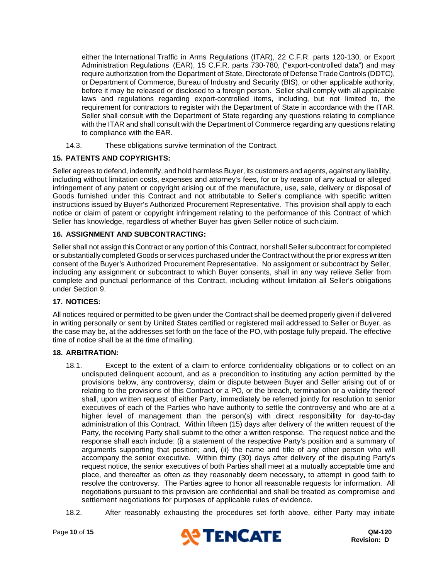either the International Traffic in Arms Regulations (ITAR), 22 C.F.R. parts 120-130, or Export Administration Regulations (EAR), 15 C.F.R. parts 730-780, ("export-controlled data") and may require authorization from the Department of State, Directorate of Defense Trade Controls (DDTC), or Department of Commerce, Bureau of Industry and Security (BIS), or other applicable authority, before it may be released or disclosed to a foreign person. Seller shall comply with all applicable laws and regulations regarding export-controlled items, including, but not limited to, the requirement for contractors to register with the Department of State in accordance with the ITAR. Seller shall consult with the Department of State regarding any questions relating to compliance with the ITAR and shall consult with the Department of Commerce regarding any questions relating to compliance with the EAR.

14.3. These obligations survive termination of the Contract.

# **15. PATENTS AND COPYRIGHTS:**

Seller agrees to defend, indemnify, and hold harmless Buyer, its customers and agents, against any liability, including without limitation costs, expenses and attorney's fees, for or by reason of any actual or alleged infringement of any patent or copyright arising out of the manufacture, use, sale, delivery or disposal of Goods furnished under this Contract and not attributable to Seller's compliance with specific written instructions issued by Buyer's Authorized Procurement Representative. This provision shall apply to each notice or claim of patent or copyright infringement relating to the performance of this Contract of which Seller has knowledge, regardless of whether Buyer has given Seller notice of suchclaim.

# **16. ASSIGNMENT AND SUBCONTRACTING:**

Seller shall not assign this Contract or any portion of this Contract, nor shall Seller subcontract for completed or substantially completed Goods or services purchased under the Contract without the prior express written consent of the Buyer's Authorized Procurement Representative. No assignment or subcontract by Seller, including any assignment or subcontract to which Buyer consents, shall in any way relieve Seller from complete and punctual performance of this Contract, including without limitation all Seller's obligations under Section [9.](#page-2-0)

# **17. NOTICES:**

All notices required or permitted to be given under the Contract shall be deemed properly given if delivered in writing personally or sent by United States certified or registered mail addressed to Seller or Buyer, as the case may be, at the addresses set forth on the face of the PO, with postage fully prepaid. The effective time of notice shall be at the time of mailing.

#### <span id="page-9-0"></span>**18. ARBITRATION:**

- 18.1. Except to the extent of a claim to enforce confidentiality obligations or to collect on an undisputed delinquent account, and as a precondition to instituting any action permitted by the provisions below, any controversy, claim or dispute between Buyer and Seller arising out of or relating to the provisions of this Contract or a PO, or the breach, termination or a validity thereof shall, upon written request of either Party, immediately be referred jointly for resolution to senior executives of each of the Parties who have authority to settle the controversy and who are at a higher level of management than the person(s) with direct responsibility for day-to-day administration of this Contract. Within fifteen (15) days after delivery of the written request of the Party, the receiving Party shall submit to the other a written response. The request notice and the response shall each include: (i) a statement of the respective Party's position and a summary of arguments supporting that position; and, (ii) the name and title of any other person who will accompany the senior executive. Within thirty (30) days after delivery of the disputing Party's request notice, the senior executives of both Parties shall meet at a mutually acceptable time and place, and thereafter as often as they reasonably deem necessary, to attempt in good faith to resolve the controversy. The Parties agree to honor all reasonable requests for information. All negotiations pursuant to this provision are confidential and shall be treated as compromise and settlement negotiations for purposes of applicable rules of evidence.
- 18.2. After reasonably exhausting the procedures set forth above, either Party may initiate

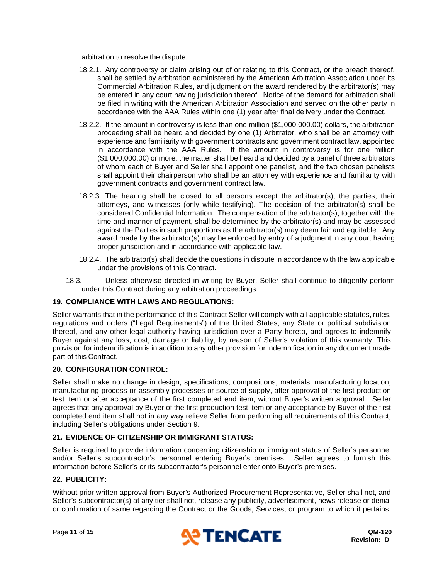arbitration to resolve the dispute.

- 18.2.1. Any controversy or claim arising out of or relating to this Contract, or the breach thereof, shall be settled by arbitration administered by the American Arbitration Association under its Commercial Arbitration Rules, and judgment on the award rendered by the arbitrator(s) may be entered in any court having jurisdiction thereof. Notice of the demand for arbitration shall be filed in writing with the American Arbitration Association and served on the other party in accordance with the AAA Rules within one (1) year after final delivery under the Contract.
- 18.2.2. If the amount in controversy is less than one million (\$1,000,000.00) dollars, the arbitration proceeding shall be heard and decided by one (1) Arbitrator, who shall be an attorney with experience and familiarity with government contracts and government contract law, appointed in accordance with the AAA Rules. If the amount in controversy is for one million (\$1,000,000.00) or more, the matter shall be heard and decided by a panel of three arbitrators of whom each of Buyer and Seller shall appoint one panelist, and the two chosen panelists shall appoint their chairperson who shall be an attorney with experience and familiarity with government contracts and government contract law.
- 18.2.3. The hearing shall be closed to all persons except the arbitrator(s), the parties, their attorneys, and witnesses (only while testifying). The decision of the arbitrator(s) shall be considered Confidential Information. The compensation of the arbitrator(s), together with the time and manner of payment, shall be determined by the arbitrator(s) and may be assessed against the Parties in such proportions as the arbitrator(s) may deem fair and equitable. Any award made by the arbitrator(s) may be enforced by entry of a judgment in any court having proper jurisdiction and in accordance with applicable law.
- 18.2.4. The arbitrator(s) shall decide the questions in dispute in accordance with the law applicable under the provisions of this Contract.
- 18.3. Unless otherwise directed in writing by Buyer, Seller shall continue to diligently perform under this Contract during any arbitration proceedings.

# **19. COMPLIANCE WITH LAWS AND REGULATIONS:**

Seller warrants that in the performance of this Contract Seller will comply with all applicable statutes, rules, regulations and orders ("Legal Requirements") of the United States, any State or political subdivision thereof, and any other legal authority having jurisdiction over a Party hereto, and agrees to indemnify Buyer against any loss, cost, damage or liability, by reason of Seller's violation of this warranty. This provision for indemnification is in addition to any other provision for indemnification in any document made part of this Contract.

#### **20. CONFIGURATION CONTROL:**

Seller shall make no change in design, specifications, compositions, materials, manufacturing location, manufacturing process or assembly processes or source of supply, after approval of the first production test item or after acceptance of the first completed end item, without Buyer's written approval. Seller agrees that any approval by Buyer of the first production test item or any acceptance by Buyer of the first completed end item shall not in any way relieve Seller from performing all requirements of this Contract, including Seller's obligations under Section [9.](#page-2-0)

#### **21. EVIDENCE OF CITIZENSHIP OR IMMIGRANT STATUS:**

Seller is required to provide information concerning citizenship or immigrant status of Seller's personnel and/or Seller's subcontractor's personnel entering Buyer's premises. Seller agrees to furnish this information before Seller's or its subcontractor's personnel enter onto Buyer's premises.

## **22. PUBLICITY:**

Without prior written approval from Buyer's Authorized Procurement Representative, Seller shall not, and Seller's subcontractor(s) at any tier shall not, release any publicity, advertisement, news release or denial or confirmation of same regarding the Contract or the Goods, Services, or program to which it pertains.

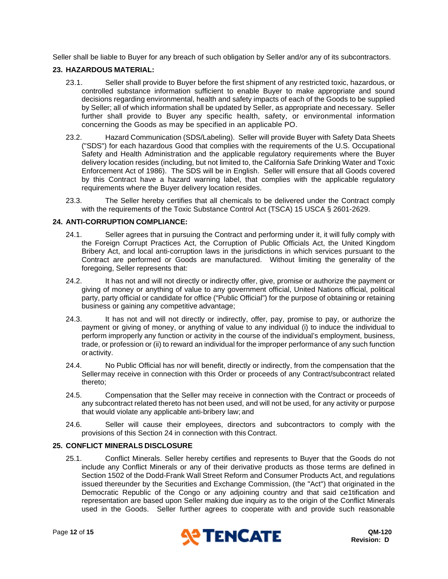Seller shall be liable to Buyer for any breach of such obligation by Seller and/or any of its subcontractors.

# **23. HAZARDOUS MATERIAL:**

- 23.1. Seller shall provide to Buyer before the first shipment of any restricted toxic, hazardous, or controlled substance information sufficient to enable Buyer to make appropriate and sound decisions regarding environmental, health and safety impacts of each of the Goods to be supplied by Seller; all of which information shall be updated by Seller, as appropriate and necessary. Seller further shall provide to Buyer any specific health, safety, or environmental information concerning the Goods as may be specified in an applicable PO.
- 23.2. Hazard Communication (SDS/Labeling). Seller will provide Buyer with Safety Data Sheets ("SDS") for each hazardous Good that complies with the requirements of the U.S. Occupational Safety and Health Administration and the applicable regulatory requirements where the Buyer delivery location resides (including, but not limited to, the California Safe Drinking Water and Toxic Enforcement Act of 1986). The SDS will be in English. Seller will ensure that all Goods covered by this Contract have a hazard warning label, that complies with the applicable regulatory requirements where the Buyer delivery location resides.
- 23.3. The Seller hereby certifies that all chemicals to be delivered under the Contract comply with the requirements of the Toxic Substance Control Act (TSCA) 15 USCA § 2601-2629.

# <span id="page-11-0"></span>**24. ANTI-CORRUPTION COMPLIANCE:**

- 24.1. Seller agrees that in pursuing the Contract and performing under it, it will fully comply with the Foreign Corrupt Practices Act, the Corruption of Public Officials Act, the United Kingdom Bribery Act, and local anti-corruption laws in the jurisdictions in which services pursuant to the Contract are performed or Goods are manufactured. Without limiting the generality of the foregoing, Seller represents that:
- 24.2. It has not and will not directly or indirectly offer, give, promise or authorize the payment or giving of money or anything of value to any government official, United Nations official, political party, party official or candidate for office ("Public Official") for the purpose of obtaining or retaining business or gaining any competitive advantage;
- 24.3. It has not and will not directly or indirectly, offer, pay, promise to pay, or authorize the payment or giving of money, or anything of value to any individual (i) to induce the individual to perform improperly any function or activity in the course of the individual's employment, business, trade, or profession or (ii) to reward an individual for the improper performance of any such function oractivity.
- 24.4. No Public Official has nor will benefit, directly or indirectly, from the compensation that the Sellermay receive in connection with this Order or proceeds of any Contract/subcontract related thereto;
- 24.5. Compensation that the Seller may receive in connection with the Contract or proceeds of any subcontract related thereto has not been used, and will not be used, for any activity or purpose that would violate any applicable anti-bribery law; and
- 24.6. Seller will cause their employees, directors and subcontractors to comply with the provisions of this Section [24](#page-11-0) in connection with this Contract.

# **25. CONFLICT MINERALS DISCLOSURE**

25.1. Conflict Minerals. Seller hereby certifies and represents to Buyer that the Goods do not include any Conflict Minerals or any of their derivative products as those terms are defined in Section 1502 of the Dodd-Frank Wall Street Reform and Consumer Products Act, and regulations issued thereunder by the Securities and Exchange Commission, (the "Act") that originated in the Democratic Republic of the Congo or any adjoining country and that said ce1tification and representation are based upon Seller making due inquiry as to the origin of the Conflict Minerals used in the Goods. Seller further agrees to cooperate with and provide such reasonable

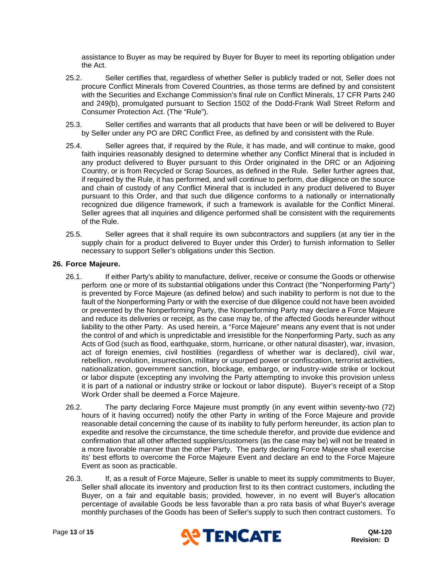assistance to Buyer as may be required by Buyer for Buyer to meet its reporting obligation under the Act.

- 25.2. Seller certifies that, regardless of whether Seller is publicly traded or not, Seller does not procure Conflict Minerals from Covered Countries, as those terms are defined by and consistent with the Securities and Exchange Commission's final rule on Conflict Minerals, 17 CFR Parts 240 and 249(b), promulgated pursuant to Section 1502 of the Dodd-Frank Wall Street Reform and Consumer Protection Act. (The "Rule").
- 25.3. Seller certifies and warrants that all products that have been or will be delivered to Buyer by Seller under any PO are DRC Conflict Free, as defined by and consistent with the Rule.
- 25.4. Seller agrees that, if required by the Rule, it has made, and will continue to make, good faith inquiries reasonably designed to determine whether any Conflict Mineral that is included in any product delivered to Buyer pursuant to this Order originated in the DRC or an Adjoining Country, or is from Recycled or Scrap Sources, as defined in the Rule. Seller further agrees that, if required by the Rule, it has performed, and will continue to perform, due diligence on the source and chain of custody of any Conflict Mineral that is included in any product delivered to Buyer pursuant to this Order, and that such due diligence conforms to a nationally or internationally recognized due diligence framework, if such a framework is available for the Conflict Mineral. Seller agrees that all inquiries and diligence performed shall be consistent with the requirements of the Rule.
- 25.5. Seller agrees that it shall require its own subcontractors and suppliers (at any tier in the supply chain for a product delivered to Buyer under this Order) to furnish information to Seller necessary to support Seller's obligations under this Section.

#### **26. Force Majeure.**

- ) perform one or more of its substantial obligations under this Contract (the "Nonperforming Party") 26.1. If either Party's ability to manufacture, deliver, receive or consume the Goods or otherwise is prevented by Force Majeure (as defined below) and such inability to perform is not due to the fault of the Nonperforming Party or with the exercise of due diligence could not have been avoided or prevented by the Nonperforming Party, the Nonperforming Party may declare a Force Majeure and reduce its deliveries or receipt, as the case may be, of the affected Goods hereunder without liability to the other Party. As used herein, a "Force Majeure" means any event that is not under the control of and which is unpredictable and irresistible for the Nonperforming Party, such as any Acts of God (such as flood, earthquake, storm, hurricane, or other natural disaster), war, invasion, act of foreign enemies, civil hostilities (regardless of whether war is declared), civil war, rebellion, revolution, insurrection, military or usurped power or confiscation, terrorist activities, nationalization, government sanction, blockage, embargo, or industry-wide strike or lockout or labor dispute (excepting any involving the Party attempting to invoke this provision unless it is part of a national or industry strike or lockout or labor dispute). Buyer's receipt of a Stop Work Order shall be deemed a Force Majeure.
- 26.2. The party declaring Force Majeure must promptly (in any event within seventy-two (72) hours of it having occurred) notify the other Party in writing of the Force Majeure and provide reasonable detail concerning the cause of its inability to fully perform hereunder, its action plan to expedite and resolve the circumstance, the time schedule therefor, and provide due evidence and confirmation that all other affected suppliers/customers (as the case may be) will not be treated in a more favorable manner than the other Party. The party declaring Force Majeure shall exercise its' best efforts to overcome the Force Majeure Event and declare an end to the Force Majeure Event as soon as practicable.
- 26.3. If, as a result of Force Majeure, Seller is unable to meet its supply commitments to Buyer, Seller shall allocate its inventory and production first to its then contract customers, including the Buyer, on a fair and equitable basis; provided, however, in no event will Buyer's allocation percentage of available Goods be less favorable than a pro rata basis of what Buyer's average monthly purchases of the Goods has been of Seller's supply to such then contract customers. To

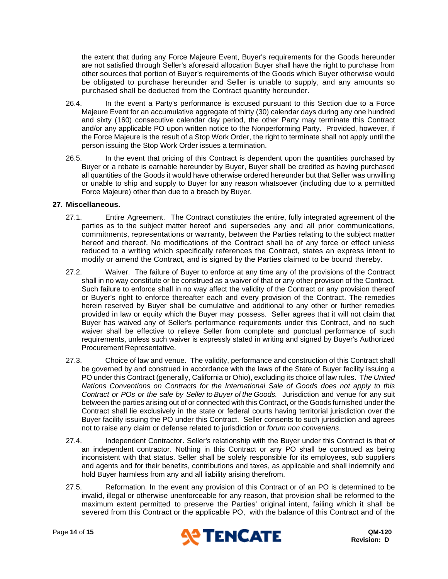the extent that during any Force Majeure Event, Buyer's requirements for the Goods hereunder are not satisfied through Seller's aforesaid allocation Buyer shall have the right to purchase from other sources that portion of Buyer's requirements of the Goods which Buyer otherwise would be obligated to purchase hereunder and Seller is unable to supply, and any amounts so purchased shall be deducted from the Contract quantity hereunder.

- 26.4. In the event a Party's performance is excused pursuant to this Section due to a Force Majeure Event for an accumulative aggregate of thirty (30) calendar days during any one hundred and sixty (160) consecutive calendar day period, the other Party may terminate this Contract and/or any applicable PO upon written notice to the Nonperforming Party. Provided, however, if the Force Majeure is the result of a Stop Work Order, the right to terminate shall not apply until the person issuing the Stop Work Order issues a termination.
- 26.5. In the event that pricing of this Contract is dependent upon the quantities purchased by Buyer or a rebate is earnable hereunder by Buyer, Buyer shaII be credited as having purchased all quantities of the Goods it would have otherwise ordered hereunder but that Seller was unwilling or unable to ship and supply to Buyer for any reason whatsoever (including due to a permitted Force Majeure) other than due to a breach by Buyer.

#### **27. Miscellaneous.**

- 27.1. Entire Agreement. The Contract constitutes the entire, fully integrated agreement of the parties as to the subject matter hereof and supersedes any and all prior communications, commitments, representations or warranty, between the Parties relating to the subject matter hereof and thereof. No modifications of the Contract shall be of any force or effect unless reduced to a writing which specifically references the Contract, states an express intent to modify or amend the Contract, and is signed by the Parties claimed to be bound thereby.
- 27.2. Waiver. The failure of Buyer to enforce at any time any of the provisions of the Contract shall in no way constitute or be construed as a waiver of that or any other provision of the Contract. Such failure to enforce shall in no way affect the validity of the Contract or any provision thereof or Buyer's right to enforce thereafter each and every provision of the Contract. The remedies herein reserved by Buyer shall be cumulative and additional to any other or further remedies provided in law or equity which the Buyer may possess. Seller agrees that it will not claim that Buyer has waived any of Seller's performance requirements under this Contract, and no such waiver shall be effective to relieve Seller from complete and punctual performance of such requirements, unless such waiver is expressly stated in writing and signed by Buyer's Authorized Procurement Representative.
- 27.3. Choice of law and venue. The validity, performance and construction of this Contract shall be governed by and construed in accordance with the laws of the State of Buyer facility issuing a PO under this Contract (generally, California or Ohio), excluding its choice of law rules. T*he United Nations Conventions on Contracts for the International Sale of Goods does not apply to this Contract or POs or the sale by Seller to Buyer of the Goods.* Jurisdiction and venue for any suit between the parties arising out of or connected with this Contract, or the Goods furnished under the Contract shall lie exclusively in the state or federal courts having territorial jurisdiction over the Buyer facility issuing the PO under this Contract. Seller consents to such jurisdiction and agrees not to raise any claim or defense related to jurisdiction or *forum non conveniens*.
- 27.4. Independent Contractor. Seller's relationship with the Buyer under this Contract is that of an independent contractor. Nothing in this Contract or any PO shall be construed as being inconsistent with that status. Seller shall be solely responsible for its employees, sub suppliers and agents and for their benefits, contributions and taxes, as applicable and shall indemnify and hold Buyer harmless from any and all liability arising therefrom.
- 27.5. Reformation. In the event any provision of this Contract or of an PO is determined to be invalid, illegal or otherwise unenforceable for any reason, that provision shall be reformed to the maximum extent permitted to preserve the Parties' original intent, failing which it shall be severed from this Contract or the applicable PO, with the balance of this Contract and of the